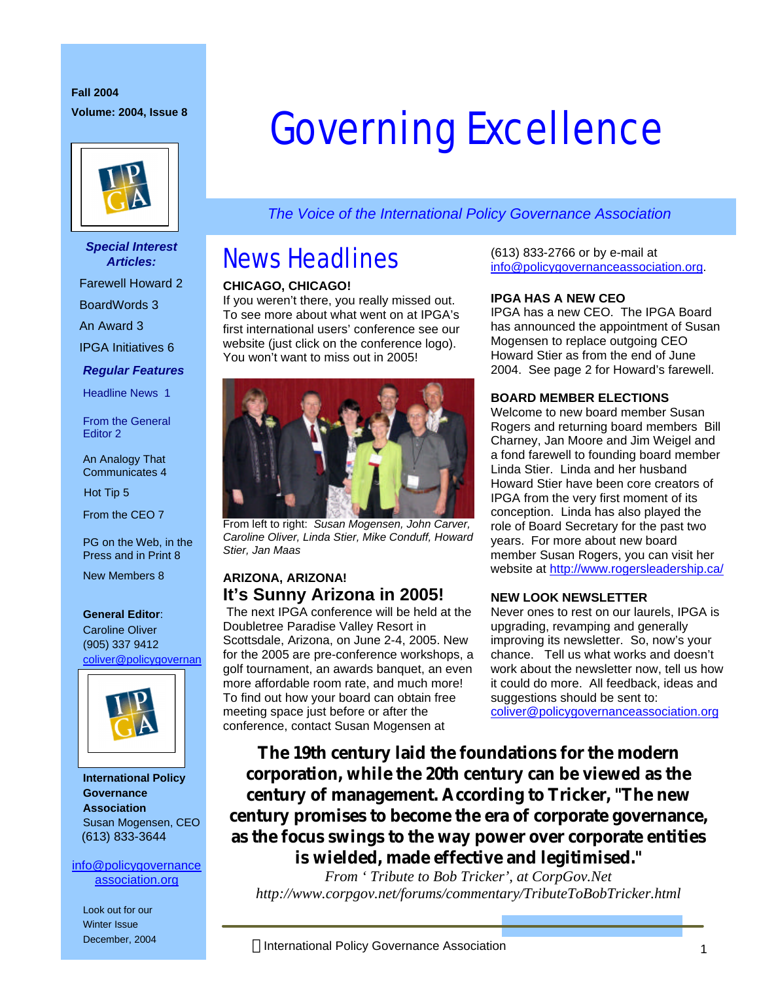#### **Fall 2004 Volume: 2004, Issue 8**



#### *Special Interest Articles:*

Farewell Howard 2

BoardWords 3

An Award 3

IPGA Initiatives 6

#### *Regular Features*

Headline News 1

From the General Editor 2

#### An Analogy That Communicates 4

Hot Tip 5

From the CEO 7

PG on the Web, in the Press and in Print 8

New Members 8

#### **General Editor**:

Caroline Oliver (905) 337 9412 coliver@policygovernan



**International Policy Governance Association** Susan Mogensen, CEO (613) 833-3644

#### info@policygovernance association.org

Look out for our Winter Issue December, 2004

# Governing Excellence

*The Voice of the International Policy Governance Association*

## News Headlines

#### **CHICAGO, CHICAGO!**

If you weren't there, you really missed out. To see more about what went on at IPGA's first international users' conference see our website (just click on the conference logo). You won't want to miss out in 2005!



From left to right: *Susan Mogensen, John Carver, Caroline Oliver, Linda Stier, Mike Conduff, Howard Stier, Jan Maas*

#### **ARIZONA, ARIZONA! It's Sunny Arizona in 2005!**

The next IPGA conference will be held at the Doubletree Paradise Valley Resort in Scottsdale, Arizona, on June 2-4, 2005. New for the 2005 are pre-conference workshops, a golf tournament, an awards banquet, an even more affordable room rate, and much more! To find out how your board can obtain free meeting space just before or after the conference, contact Susan Mogensen at

(613) 833-2766 or by e-mail at info@policygovernanceassociation.org.

#### **IPGA HAS A NEW CEO**

IPGA has a new CEO. The IPGA Board has announced the appointment of Susan Mogensen to replace outgoing CEO Howard Stier as from the end of June 2004. See page 2 for Howard's farewell.

#### **BOARD MEMBER ELECTIONS**

Welcome to new board member Susan Rogers and returning board members Bill Charney, Jan Moore and Jim Weigel and a fond farewell to founding board member Linda Stier. Linda and her husband Howard Stier have been core creators of IPGA from the very first moment of its conception. Linda has also played the role of Board Secretary for the past two years. For more about new board member Susan Rogers, you can visit her website at http://www.rogersleadership.ca/

#### **NEW LOOK NEWSLETTER**

Never ones to rest on our laurels, IPGA is upgrading, revamping and generally improving its newsletter. So, now's your chance. Tell us what works and doesn't work about the newsletter now, tell us how it could do more. All feedback, ideas and suggestions should be sent to: coliver@policygovernanceassociation.org

**The 19th century laid the foundations for the modern corporation, while the 20th century can be viewed as the century of management. According to Tricker, "The new century promises to become the era of corporate governance, as the focus swings to the way power over corporate entities is wielded, made effective and legitimised."**

*From ' Tribute to Bob Tricker', at CorpGov.Net http://www.corpgov.net/forums/commentary/TributeToBobTricker.html*

1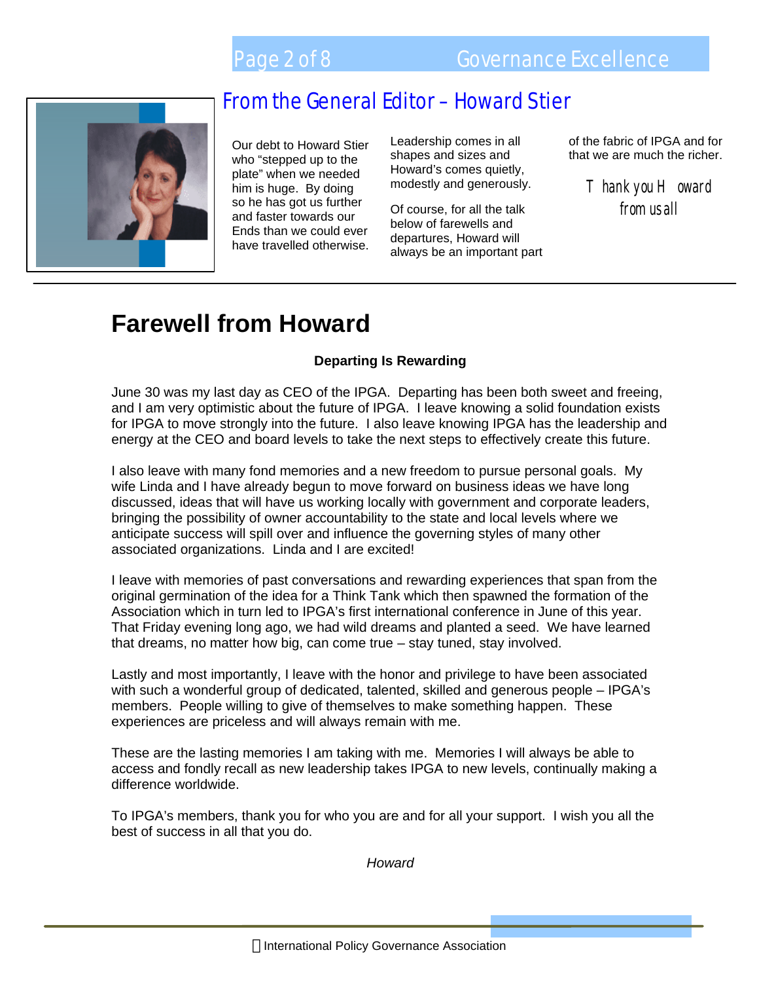

Our debt to Howard Stier who "stepped up to the plate" when we needed him is huge. By doing so he has got us further and faster towards our Ends than we could ever have travelled otherwise.

Leadership comes in all shapes and sizes and Howard's comes quietly, modestly and generously.

Of course, for all the talk below of farewells and departures, Howard will always be an important part of the fabric of IPGA and for that we are much the richer.

> $T$  hank you  $H$  oward from us all

> > 2

## **Farewell from Howard**

#### **Departing Is Rewarding**

June 30 was my last day as CEO of the IPGA. Departing has been both sweet and freeing, and I am very optimistic about the future of IPGA. I leave knowing a solid foundation exists for IPGA to move strongly into the future. I also leave knowing IPGA has the leadership and energy at the CEO and board levels to take the next steps to effectively create this future.

I also leave with many fond memories and a new freedom to pursue personal goals. My wife Linda and I have already begun to move forward on business ideas we have long discussed, ideas that will have us working locally with government and corporate leaders, bringing the possibility of owner accountability to the state and local levels where we anticipate success will spill over and influence the governing styles of many other associated organizations. Linda and I are excited!

I leave with memories of past conversations and rewarding experiences that span from the original germination of the idea for a Think Tank which then spawned the formation of the Association which in turn led to IPGA's first international conference in June of this year. That Friday evening long ago, we had wild dreams and planted a seed. We have learned that dreams, no matter how big, can come true – stay tuned, stay involved.

Lastly and most importantly, I leave with the honor and privilege to have been associated with such a wonderful group of dedicated, talented, skilled and generous people – IPGA's members. People willing to give of themselves to make something happen. These experiences are priceless and will always remain with me.

These are the lasting memories I am taking with me. Memories I will always be able to access and fondly recall as new leadership takes IPGA to new levels, continually making a difference worldwide.

To IPGA's members, thank you for who you are and for all your support. I wish you all the best of success in all that you do.

*Howard*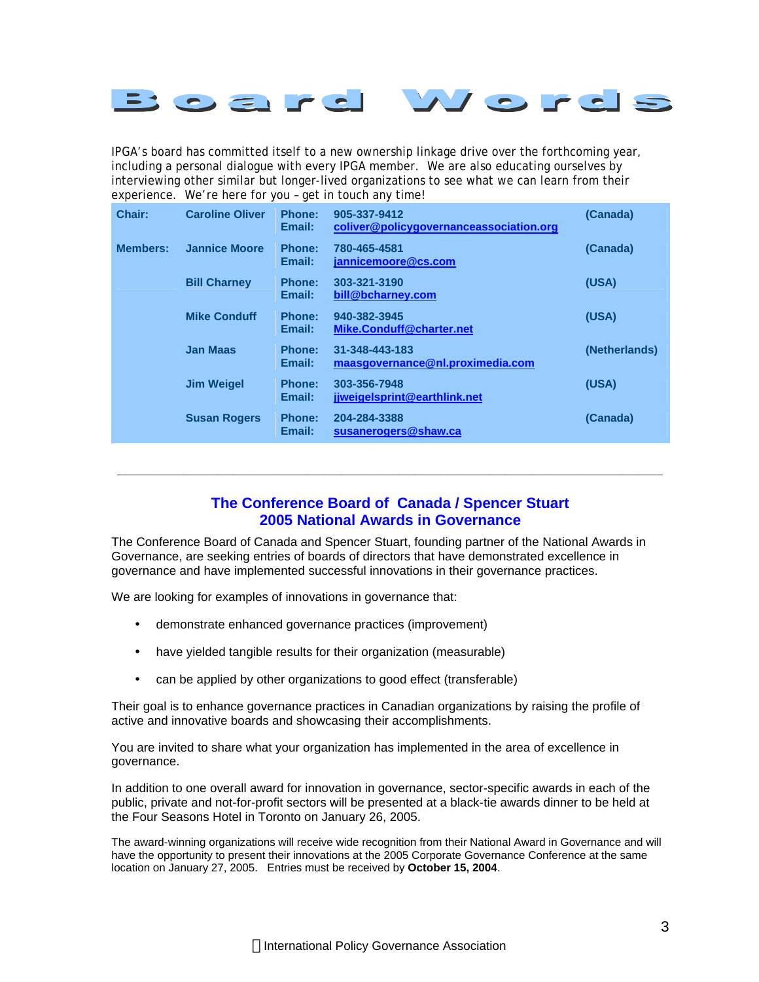![](_page_2_Picture_0.jpeg)

IPGA's board has committed itself to a new ownership linkage drive over the forthcoming year, including a personal dialogue with every IPGA member. We are also educating ourselves by interviewing other similar but longer-lived organizations to see what we can learn from their experience. We're here for you – get in touch any time!

| Chair:          | <b>Caroline Oliver</b> | <b>Phone:</b><br>Email: | 905-337-9412<br>coliver@policygovernanceassociation.org | (Canada)      |
|-----------------|------------------------|-------------------------|---------------------------------------------------------|---------------|
| <b>Members:</b> | <b>Jannice Moore</b>   | Phone:<br>Email:        | 780-465-4581<br>jannicemoore@cs.com                     | (Canada)      |
|                 | <b>Bill Charney</b>    | <b>Phone:</b><br>Email: | 303-321-3190<br>bill@bcharney.com                       | (USA)         |
|                 | <b>Mike Conduff</b>    | <b>Phone:</b><br>Email: | 940-382-3945<br>Mike.Conduff@charter.net                | (USA)         |
|                 | <b>Jan Maas</b>        | Phone:<br>Email:        | 31-348-443-183<br>maasgovernance@nl.proximedia.com      | (Netherlands) |
|                 | <b>Jim Weigel</b>      | <b>Phone:</b><br>Email: | 303-356-7948<br>jiweigelsprint@earthlink.net            | (USA)         |
|                 | <b>Susan Rogers</b>    | <b>Phone:</b><br>Email: | 204-284-3388<br>susanerogers@shaw.ca                    | (Canada)      |

#### **The Conference Board of Canada / Spencer Stuart 2005 National Awards in Governance**

**\_\_\_\_\_\_\_\_\_\_\_\_\_\_\_\_\_\_\_\_\_\_\_\_\_\_\_\_\_\_\_\_\_\_\_\_\_\_\_\_\_\_\_\_\_\_\_\_\_\_\_\_\_\_\_\_\_\_\_\_\_\_\_\_\_\_**

The Conference Board of Canada and Spencer Stuart, founding partner of the National Awards in Governance, are seeking entries of boards of directors that have demonstrated excellence in governance and have implemented successful innovations in their governance practices.

We are looking for examples of innovations in governance that:

- demonstrate enhanced governance practices (improvement)
- have yielded tangible results for their organization (measurable)
- can be applied by other organizations to good effect (transferable)

Their goal is to enhance governance practices in Canadian organizations by raising the profile of active and innovative boards and showcasing their accomplishments.

You are invited to share what your organization has implemented in the area of excellence in governance.

In addition to one overall award for innovation in governance, sector-specific awards in each of the public, private and not-for-profit sectors will be presented at a black-tie awards dinner to be held at the Four Seasons Hotel in Toronto on January 26, 2005.

The award-winning organizations will receive wide recognition from their National Award in Governance and will have the opportunity to present their innovations at the 2005 Corporate Governance Conference at the same location on January 27, 2005. Entries must be received by **October 15, 2004**.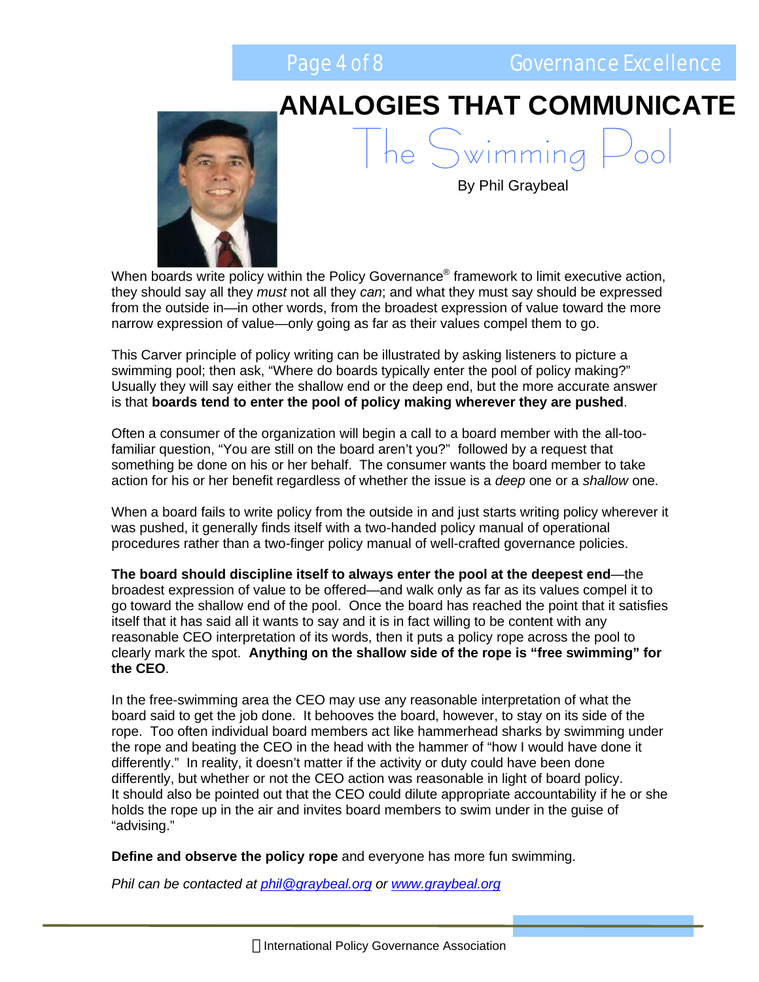![](_page_3_Picture_0.jpeg)

4

## **ANALOGIES THAT COMMUNICATE**

he Swimming

![](_page_3_Picture_2.jpeg)

By Phil Graybeal

When boards write policy within the Policy Governance® framework to limit executive action, they should say all they *must* not all they *can*; and what they must say should be expressed from the outside in—in other words, from the broadest expression of value toward the more narrow expression of value—only going as far as their values compel them to go.

This Carver principle of policy writing can be illustrated by asking listeners to picture a swimming pool; then ask, "Where do boards typically enter the pool of policy making?" Usually they will say either the shallow end or the deep end, but the more accurate answer is that **boards tend to enter the pool of policy making wherever they are pushed**.

Often a consumer of the organization will begin a call to a board member with the all-toofamiliar question, "You are still on the board aren't you?" followed by a request that something be done on his or her behalf. The consumer wants the board member to take action for his or her benefit regardless of whether the issue is a *deep* one or a *shallow* one.

When a board fails to write policy from the outside in and just starts writing policy wherever it was pushed, it generally finds itself with a two-handed policy manual of operational procedures rather than a two-finger policy manual of well-crafted governance policies.

**The board should discipline itself to always enter the pool at the deepest end**—the broadest expression of value to be offered—and walk only as far as its values compel it to go toward the shallow end of the pool. Once the board has reached the point that it satisfies itself that it has said all it wants to say and it is in fact willing to be content with any reasonable CEO interpretation of its words, then it puts a policy rope across the pool to clearly mark the spot. **Anything on the shallow side of the rope is "free swimming" for the CEO**.

In the free-swimming area the CEO may use any reasonable interpretation of what the board said to get the job done. It behooves the board, however, to stay on its side of the rope. Too often individual board members act like hammerhead sharks by swimming under the rope and beating the CEO in the head with the hammer of "how I would have done it differently." In reality, it doesn't matter if the activity or duty could have been done differently, but whether or not the CEO action was reasonable in light of board policy. It should also be pointed out that the CEO could dilute appropriate accountability if he or she holds the rope up in the air and invites board members to swim under in the guise of "advising."

**Define and observe the policy rope** and everyone has more fun swimming.

*Phil can be contacted at phil@graybeal.org or www.graybeal.org*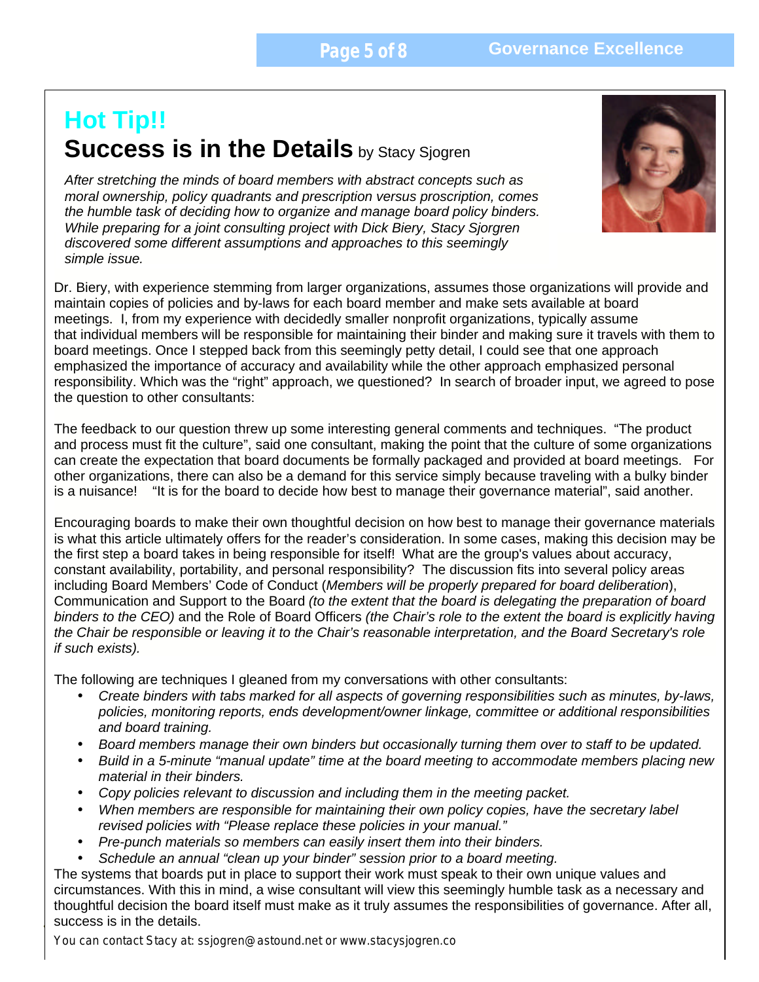### **Hot Tip!! Success is in the Details** by Stacy Sjogren

 *While preparing for a joint consulting project with Dick Biery, Stacy Sjorgren After stretching the minds of board members with abstract concepts such as moral ownership, policy quadrants and prescription versus proscription, comes the humble task of deciding how to organize and manage board policy binders. discovered some different assumptions and approaches to this seemingly simple issue.* 

Dr. Biery, with experience stemming from larger organizations, assumes those organizations will provide and maintain copies of policies and by-laws for each board member and make sets available at board meetings. I, from my experience with decidedly smaller nonprofit organizations, typically assume that individual members will be responsible for maintaining their binder and making sure it travels with them to board meetings. Once I stepped back from this seemingly petty detail, I could see that one approach emphasized the importance of accuracy and availability while the other approach emphasized personal responsibility. Which was the "right" approach, we questioned? In search of broader input, we agreed to pose the question to other consultants:

The feedback to our question threw up some interesting general comments and techniques. "The product and process must fit the culture", said one consultant, making the point that the culture of some organizations can create the expectation that board documents be formally packaged and provided at board meetings. For other organizations, there can also be a demand for this service simply because traveling with a bulky binder is a nuisance! "It is for the board to decide how best to manage their governance material", said another.

Encouraging boards to make their own thoughtful decision on how best to manage their governance materials is what this article ultimately offers for the reader's consideration. In some cases, making this decision may be the first step a board takes in being responsible for itself! What are the group's values about accuracy, constant availability, portability, and personal responsibility? The discussion fits into several policy areas including Board Members' Code of Conduct (*Members will be properly prepared for board deliberation*), Communication and Support to the Board *(to the extent that the board is delegating the preparation of board binders to the CEO)* and the Role of Board Officers *(the Chair's role to the extent the board is explicitly having the Chair be responsible or leaving it to the Chair's reasonable interpretation, and the Board Secretary's role if such exists).*

The following are techniques I gleaned from my conversations with other consultants:

- *Create binders with tabs marked for all aspects of governing responsibilities such as minutes, by-laws, policies, monitoring reports, ends development/owner linkage, committee or additional responsibilities and board training.*
- *Board members manage their own binders but occasionally turning them over to staff to be updated.*
- *Build in a 5-minute "manual update" time at the board meeting to accommodate members placing new material in their binders.*
- *Copy policies relevant to discussion and including them in the meeting packet.*
- *When members are responsible for maintaining their own policy copies, have the secretary label revised policies with "Please replace these policies in your manual."*
- *Pre-punch materials so members can easily insert them into their binders.*
- *Schedule an annual "clean up your binder" session prior to a board meeting.*

The systems that boards put in place to support their work must speak to their own unique values and circumstances. With this in mind, a wise consultant will view this seemingly humble task as a necessary and thoughtful decision the board itself must make as it truly assumes the responsibilities of governance. After all, success is in the details.

*You can contact Stacy at: ssjogren@astound.net or www.stacysjogren.co* 

![](_page_4_Picture_17.jpeg)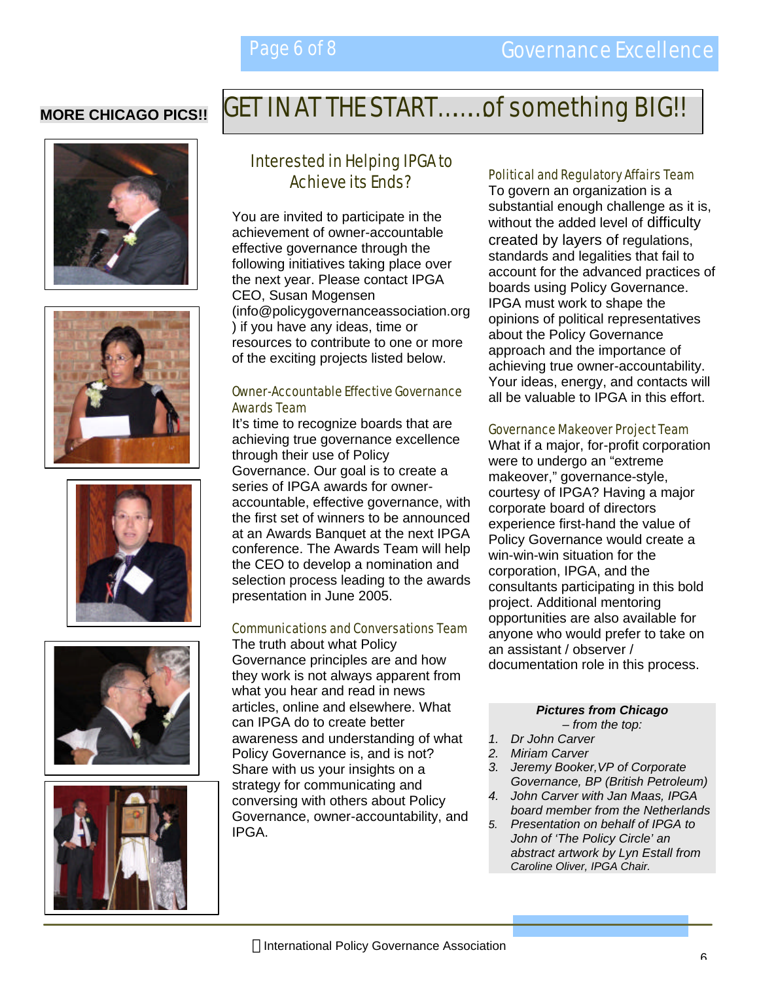### **MORE CHICAGO PICS!!**

![](_page_5_Picture_3.jpeg)

![](_page_5_Picture_4.jpeg)

![](_page_5_Picture_5.jpeg)

![](_page_5_Picture_6.jpeg)

![](_page_5_Picture_7.jpeg)

## GET IN AT THE START………of something BIG!!

### Interested in Helping IPGA to Achieve its Ends?

You are invited to participate in the achievement of owner-accountable effective governance through the following initiatives taking place over the next year. Please contact IPGA CEO, Susan Mogensen (info@policygovernanceassociation.org ) if you have any ideas, time or resources to contribute to one or more of the exciting projects listed below.

#### Owner-Accountable Effective Governance Awards Team

It's time to recognize boards that are achieving true governance excellence through their use of Policy Governance. Our goal is to create a series of IPGA awards for owneraccountable, effective governance, with the first set of winners to be announced at an Awards Banquet at the next IPGA conference. The Awards Team will help the CEO to develop a nomination and selection process leading to the awards presentation in June 2005.

#### Communications and Conversations Team

The truth about what Policy Governance principles are and how they work is not always apparent from what you hear and read in news articles, online and elsewhere. What can IPGA do to create better awareness and understanding of what Policy Governance is, and is not? Share with us your insights on a strategy for communicating and conversing with others about Policy Governance, owner-accountability, and IPGA.

#### Political and Regulatory Affairs Team

To govern an organization is a substantial enough challenge as it is, without the added level of difficulty created by layers of regulations, standards and legalities that fail to account for the advanced practices of boards using Policy Governance. IPGA must work to shape the opinions of political representatives about the Policy Governance approach and the importance of achieving true owner-accountability. Your ideas, energy, and contacts will all be valuable to IPGA in this effort.

#### Governance Makeover Project Team

What if a major, for-profit corporation were to undergo an "extreme makeover," governance-style, courtesy of IPGA? Having a major corporate board of directors experience first-hand the value of Policy Governance would create a win-win-win situation for the corporation, IPGA, and the consultants participating in this bold project. Additional mentoring opportunities are also available for anyone who would prefer to take on an assistant / observer / documentation role in this process.

#### *Pictures from Chicago*

- *from the top:*
- *1. Dr John Carver 2. Miriam Carver*
- 
- *3. Jeremy Booker,VP of Corporate Governance, BP (British Petroleum)*
- *4. John Carver with Jan Maas, IPGA board member from the Netherlands*
- *5. Presentation on behalf of IPGA to John of 'The Policy Circle' an abstract artwork by Lyn Estall from Caroline Oliver, IPGA Chair.*

6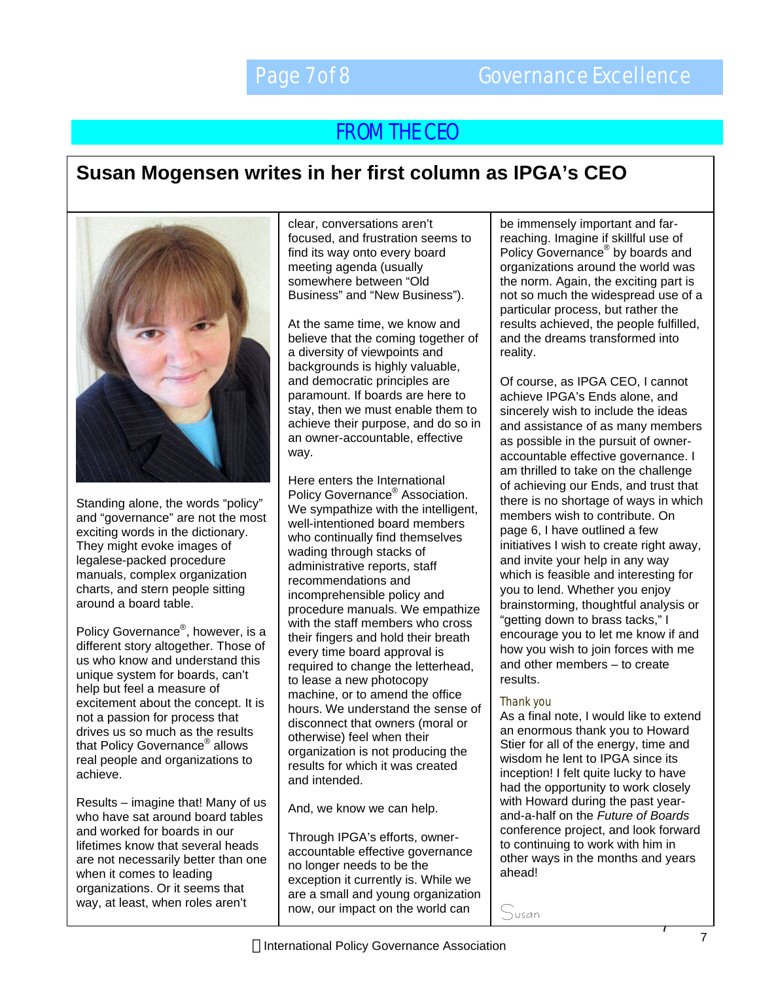### FROM THE CEO

### **Susan Mogensen writes in her first column as IPGA's CEO**

![](_page_6_Picture_4.jpeg)

Standing alone, the words "policy" and "governance" are not the most exciting words in the dictionary. They might evoke images of legalese-packed procedure manuals, complex organization charts, and stern people sitting around a board table.

Policy Governance<sup>®</sup>, however, is a different story altogether. Those of us who know and understand this unique system for boards, can't help but feel a measure of excitement about the concept. It is not a passion for process that drives us so much as the results that Policy Governance® allows real people and organizations to achieve.

Results – imagine that! Many of us who have sat around board tables and worked for boards in our lifetimes know that several heads are not necessarily better than one when it comes to leading organizations. Or it seems that way, at least, when roles aren't

clear, conversations aren't focused, and frustration seems to find its way onto every board meeting agenda (usually somewhere between "Old Business" and "New Business").

At the same time, we know and believe that the coming together of a diversity of viewpoints and backgrounds is highly valuable, and democratic principles are paramount. If boards are here to stay, then we must enable them to achieve their purpose, and do so in an owner-accountable, effective way.

Here enters the International Policy Governance<sup>®</sup> Association. We sympathize with the intelligent, well-intentioned board members who continually find themselves wading through stacks of administrative reports, staff recommendations and incomprehensible policy and procedure manuals. We empathize with the staff members who cross their fingers and hold their breath every time board approval is required to change the letterhead, to lease a new photocopy machine, or to amend the office hours. We understand the sense of disconnect that owners (moral or otherwise) feel when their organization is not producing the results for which it was created and intended.

And, we know we can help.

Through IPGA's efforts, owneraccountable effective governance no longer needs to be the exception it currently is. While we are a small and young organization now, our impact on the world can

be immensely important and farreaching. Imagine if skillful use of Policy Governance<sup>®</sup> by boards and organizations around the world was the norm. Again, the exciting part is not so much the widespread use of a particular process, but rather the results achieved, the people fulfilled, and the dreams transformed into reality.

Of course, as IPGA CEO, I cannot achieve IPGA's Ends alone, and sincerely wish to include the ideas and assistance of as many members as possible in the pursuit of owneraccountable effective governance. I am thrilled to take on the challenge of achieving our Ends, and trust that there is no shortage of ways in which members wish to contribute. On page 6, I have outlined a few initiatives I wish to create right away, and invite your help in any way which is feasible and interesting for you to lend. Whether you enjoy brainstorming, thoughtful analysis or "getting down to brass tacks," I encourage you to let me know if and how you wish to join forces with me and other members – to create results.

#### Thank you

As a final note, I would like to extend an enormous thank you to Howard Stier for all of the energy, time and wisdom he lent to IPGA since its inception! I felt quite lucky to have had the opportunity to work closely with Howard during the past yearand-a-half on the *Future of Boards* conference project, and look forward to continuing to work with him in other ways in the months and years ahead!

Susan

7